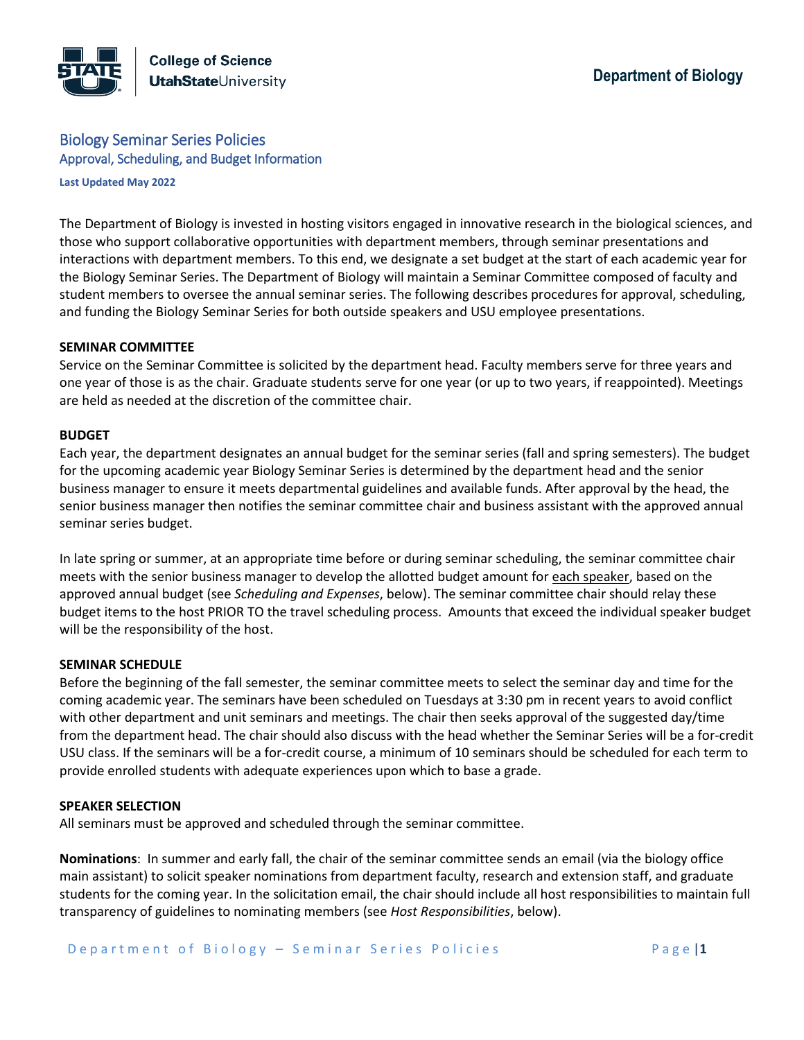# Biology Seminar Series Policies Approval, Scheduling, and Budget Information

**Last Updated May 2022**

The Department of Biology is invested in hosting visitors engaged in innovative research in the biological sciences, and those who support collaborative opportunities with department members, through seminar presentations and interactions with department members. To this end, we designate a set budget at the start of each academic year for the Biology Seminar Series. The Department of Biology will maintain a Seminar Committee composed of faculty and student members to oversee the annual seminar series. The following describes procedures for approval, scheduling, and funding the Biology Seminar Series for both outside speakers and USU employee presentations.

#### **SEMINAR COMMITTEE**

Service on the Seminar Committee is solicited by the department head. Faculty members serve for three years and one year of those is as the chair. Graduate students serve for one year (or up to two years, if reappointed). Meetings are held as needed at the discretion of the committee chair.

## **BUDGET**

Each year, the department designates an annual budget for the seminar series (fall and spring semesters). The budget for the upcoming academic year Biology Seminar Series is determined by the department head and the senior business manager to ensure it meets departmental guidelines and available funds. After approval by the head, the senior business manager then notifies the seminar committee chair and business assistant with the approved annual seminar series budget.

In late spring or summer, at an appropriate time before or during seminar scheduling, the seminar committee chair meets with the senior business manager to develop the allotted budget amount for each speaker, based on the approved annual budget (see *Scheduling and Expenses*, below). The seminar committee chair should relay these budget items to the host PRIOR TO the travel scheduling process. Amounts that exceed the individual speaker budget will be the responsibility of the host.

## **SEMINAR SCHEDULE**

Before the beginning of the fall semester, the seminar committee meets to select the seminar day and time for the coming academic year. The seminars have been scheduled on Tuesdays at 3:30 pm in recent years to avoid conflict with other department and unit seminars and meetings. The chair then seeks approval of the suggested day/time from the department head. The chair should also discuss with the head whether the Seminar Series will be a for-credit USU class. If the seminars will be a for-credit course, a minimum of 10 seminars should be scheduled for each term to provide enrolled students with adequate experiences upon which to base a grade.

## **SPEAKER SELECTION**

All seminars must be approved and scheduled through the seminar committee.

**Nominations**: In summer and early fall, the chair of the seminar committee sends an email (via the biology office main assistant) to solicit speaker nominations from department faculty, research and extension staff, and graduate students for the coming year. In the solicitation email, the chair should include all host responsibilities to maintain full transparency of guidelines to nominating members (see *Host Responsibilities*, below).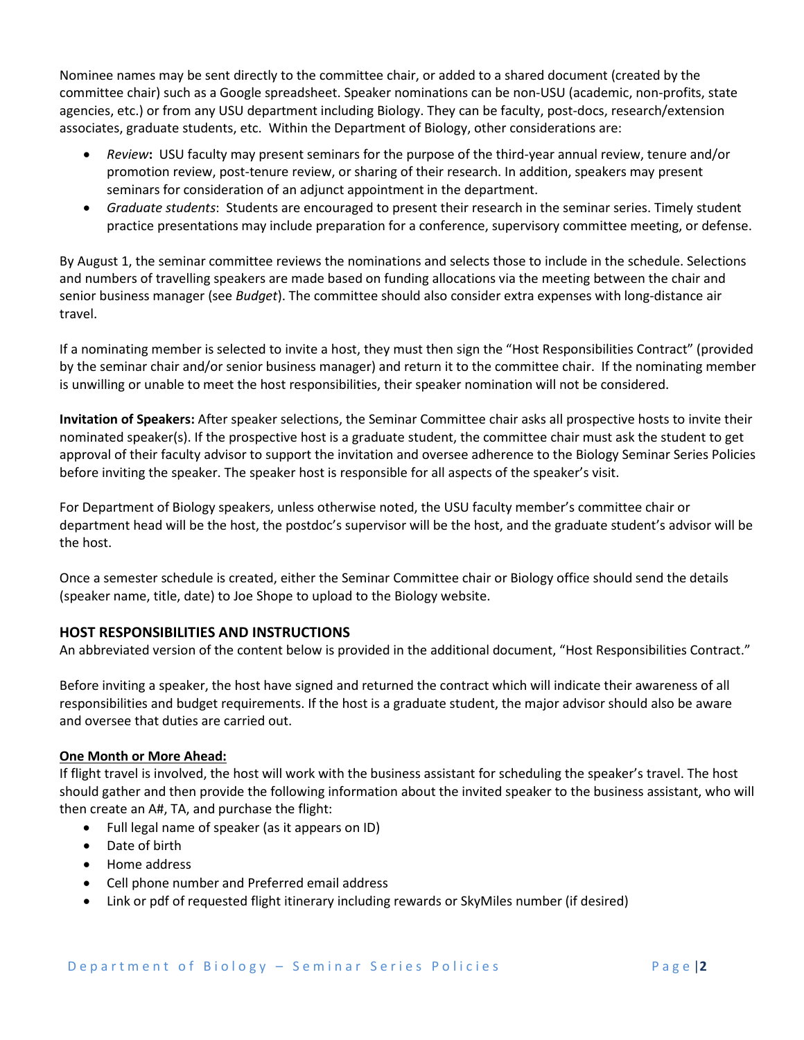Nominee names may be sent directly to the committee chair, or added to a shared document (created by the committee chair) such as a Google spreadsheet. Speaker nominations can be non-USU (academic, non-profits, state agencies, etc.) or from any USU department including Biology. They can be faculty, post-docs, research/extension associates, graduate students, etc. Within the Department of Biology, other considerations are:

- *Review***:** USU faculty may present seminars for the purpose of the third-year annual review, tenure and/or promotion review, post-tenure review, or sharing of their research. In addition, speakers may present seminars for consideration of an adjunct appointment in the department.
- *Graduate students*: Students are encouraged to present their research in the seminar series. Timely student practice presentations may include preparation for a conference, supervisory committee meeting, or defense.

By August 1, the seminar committee reviews the nominations and selects those to include in the schedule. Selections and numbers of travelling speakers are made based on funding allocations via the meeting between the chair and senior business manager (see *Budget*). The committee should also consider extra expenses with long-distance air travel.

If a nominating member is selected to invite a host, they must then sign the "Host Responsibilities Contract" (provided by the seminar chair and/or senior business manager) and return it to the committee chair. If the nominating member is unwilling or unable to meet the host responsibilities, their speaker nomination will not be considered.

**Invitation of Speakers:** After speaker selections, the Seminar Committee chair asks all prospective hosts to invite their nominated speaker(s). If the prospective host is a graduate student, the committee chair must ask the student to get approval of their faculty advisor to support the invitation and oversee adherence to the Biology Seminar Series Policies before inviting the speaker. The speaker host is responsible for all aspects of the speaker's visit.

For Department of Biology speakers, unless otherwise noted, the USU faculty member's committee chair or department head will be the host, the postdoc's supervisor will be the host, and the graduate student's advisor will be the host.

Once a semester schedule is created, either the Seminar Committee chair or Biology office should send the details (speaker name, title, date) to Joe Shope to upload to the Biology website.

## **HOST RESPONSIBILITIES AND INSTRUCTIONS**

An abbreviated version of the content below is provided in the additional document, "Host Responsibilities Contract."

Before inviting a speaker, the host have signed and returned the contract which will indicate their awareness of all responsibilities and budget requirements. If the host is a graduate student, the major advisor should also be aware and oversee that duties are carried out.

## **One Month or More Ahead:**

If flight travel is involved, the host will work with the business assistant for scheduling the speaker's travel. The host should gather and then provide the following information about the invited speaker to the business assistant, who will then create an A#, TA, and purchase the flight:

- Full legal name of speaker (as it appears on ID)
- Date of birth
- Home address
- Cell phone number and Preferred email address
- Link or pdf of requested flight itinerary including rewards or SkyMiles number (if desired)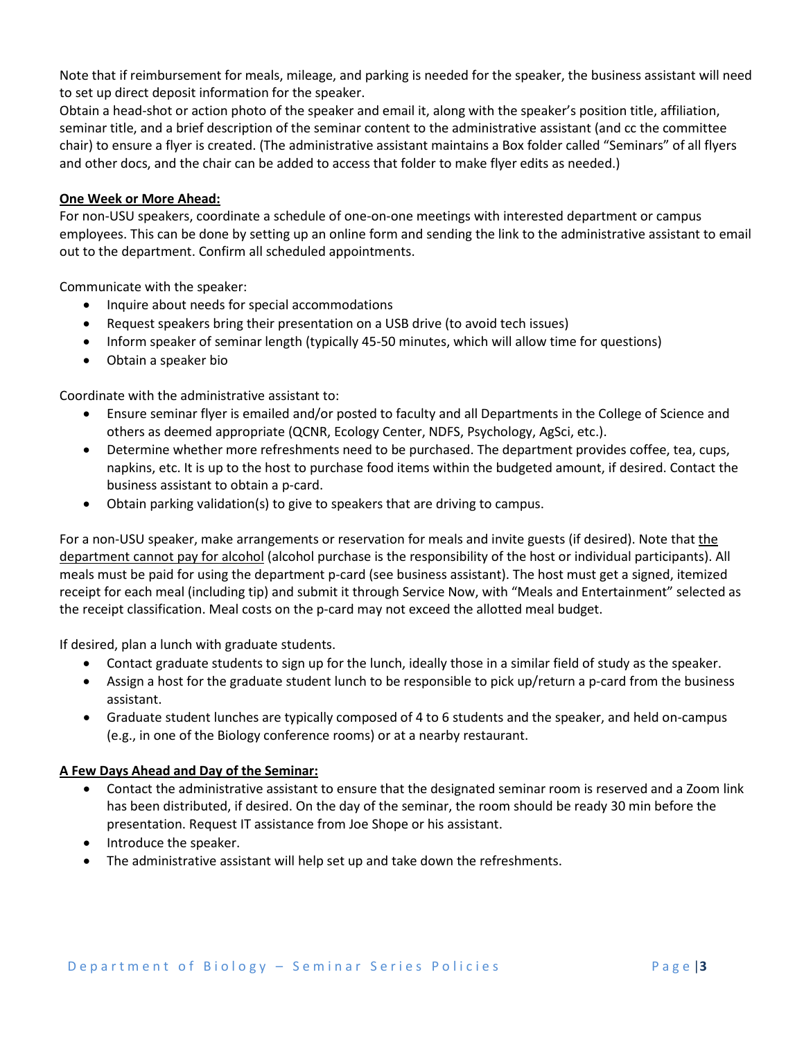Note that if reimbursement for meals, mileage, and parking is needed for the speaker, the business assistant will need to set up direct deposit information for the speaker.

Obtain a head-shot or action photo of the speaker and email it, along with the speaker's position title, affiliation, seminar title, and a brief description of the seminar content to the administrative assistant (and cc the committee chair) to ensure a flyer is created. (The administrative assistant maintains a Box folder called "Seminars" of all flyers and other docs, and the chair can be added to access that folder to make flyer edits as needed.)

## **One Week or More Ahead:**

For non-USU speakers, coordinate a schedule of one-on-one meetings with interested department or campus employees. This can be done by setting up an online form and sending the link to the administrative assistant to email out to the department. Confirm all scheduled appointments.

Communicate with the speaker:

- Inquire about needs for special accommodations
- Request speakers bring their presentation on a USB drive (to avoid tech issues)
- Inform speaker of seminar length (typically 45-50 minutes, which will allow time for questions)
- Obtain a speaker bio

Coordinate with the administrative assistant to:

- Ensure seminar flyer is emailed and/or posted to faculty and all Departments in the College of Science and others as deemed appropriate (QCNR, Ecology Center, NDFS, Psychology, AgSci, etc.).
- Determine whether more refreshments need to be purchased. The department provides coffee, tea, cups, napkins, etc. It is up to the host to purchase food items within the budgeted amount, if desired. Contact the business assistant to obtain a p-card.
- Obtain parking validation(s) to give to speakers that are driving to campus.

For a non-USU speaker, make arrangements or reservation for meals and invite guests (if desired). Note that the department cannot pay for alcohol (alcohol purchase is the responsibility of the host or individual participants). All meals must be paid for using the department p-card (see business assistant). The host must get a signed, itemized receipt for each meal (including tip) and submit it through Service Now, with "Meals and Entertainment" selected as the receipt classification. Meal costs on the p-card may not exceed the allotted meal budget.

If desired, plan a lunch with graduate students.

- Contact graduate students to sign up for the lunch, ideally those in a similar field of study as the speaker.
- Assign a host for the graduate student lunch to be responsible to pick up/return a p-card from the business assistant.
- Graduate student lunches are typically composed of 4 to 6 students and the speaker, and held on-campus (e.g., in one of the Biology conference rooms) or at a nearby restaurant.

## **A Few Days Ahead and Day of the Seminar:**

- Contact the administrative assistant to ensure that the designated seminar room is reserved and a Zoom link has been distributed, if desired. On the day of the seminar, the room should be ready 30 min before the presentation. Request IT assistance from Joe Shope or his assistant.
- Introduce the speaker.
- The administrative assistant will help set up and take down the refreshments.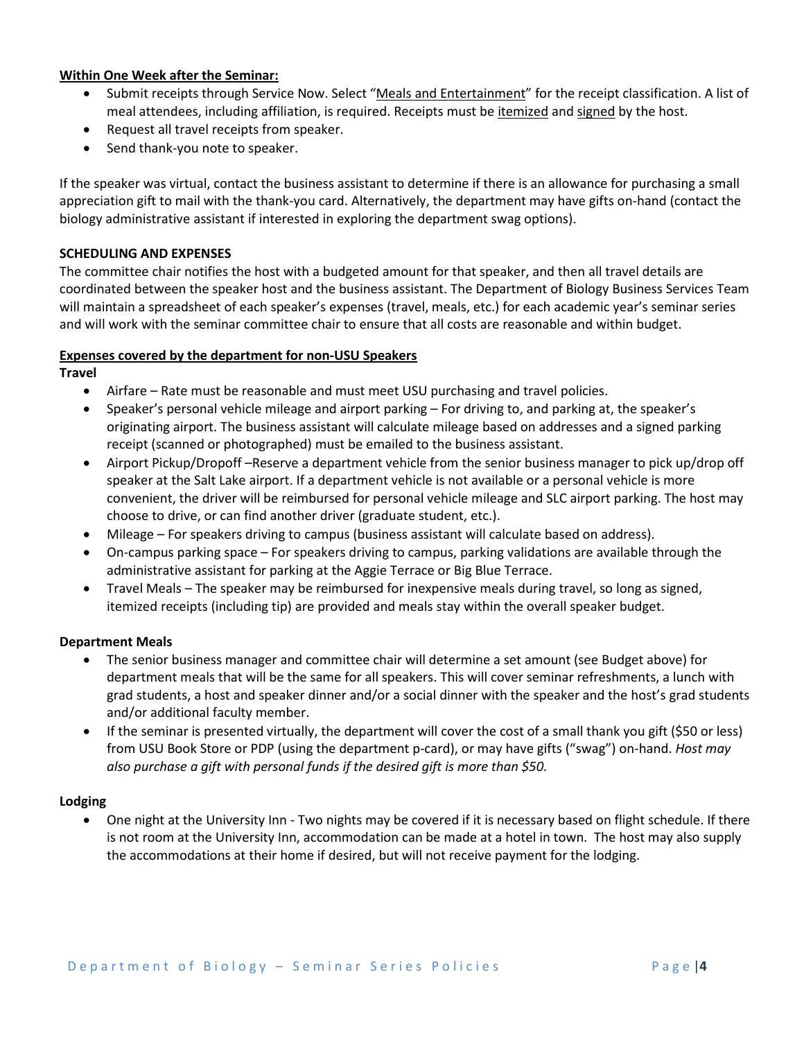## **Within One Week after the Seminar:**

- Submit receipts through Service Now. Select "Meals and Entertainment" for the receipt classification. A list of meal attendees, including affiliation, is required. Receipts must be itemized and signed by the host.
- Request all travel receipts from speaker.
- Send thank-you note to speaker.

If the speaker was virtual, contact the business assistant to determine if there is an allowance for purchasing a small appreciation gift to mail with the thank-you card. Alternatively, the department may have gifts on-hand (contact the biology administrative assistant if interested in exploring the department swag options).

## **SCHEDULING AND EXPENSES**

The committee chair notifies the host with a budgeted amount for that speaker, and then all travel details are coordinated between the speaker host and the business assistant. The Department of Biology Business Services Team will maintain a spreadsheet of each speaker's expenses (travel, meals, etc.) for each academic year's seminar series and will work with the seminar committee chair to ensure that all costs are reasonable and within budget.

## **Expenses covered by the department for non-USU Speakers**

**Travel**

- Airfare Rate must be reasonable and must meet USU purchasing and travel policies.
- Speaker's personal vehicle mileage and airport parking For driving to, and parking at, the speaker's originating airport. The business assistant will calculate mileage based on addresses and a signed parking receipt (scanned or photographed) must be emailed to the business assistant.
- Airport Pickup/Dropoff –Reserve a department vehicle from the senior business manager to pick up/drop off speaker at the Salt Lake airport. If a department vehicle is not available or a personal vehicle is more convenient, the driver will be reimbursed for personal vehicle mileage and SLC airport parking. The host may choose to drive, or can find another driver (graduate student, etc.).
- Mileage For speakers driving to campus (business assistant will calculate based on address).
- On-campus parking space For speakers driving to campus, parking validations are available through the administrative assistant for parking at the Aggie Terrace or Big Blue Terrace.
- Travel Meals The speaker may be reimbursed for inexpensive meals during travel, so long as signed, itemized receipts (including tip) are provided and meals stay within the overall speaker budget.

#### **Department Meals**

- The senior business manager and committee chair will determine a set amount (see Budget above) for department meals that will be the same for all speakers. This will cover seminar refreshments, a lunch with grad students, a host and speaker dinner and/or a social dinner with the speaker and the host's grad students and/or additional faculty member.
- If the seminar is presented virtually, the department will cover the cost of a small thank you gift (\$50 or less) from USU Book Store or PDP (using the department p-card), or may have gifts ("swag") on-hand. *Host may also purchase a gift with personal funds if the desired gift is more than \$50.*

#### **Lodging**

• One night at the University Inn - Two nights may be covered if it is necessary based on flight schedule. If there is not room at the University Inn, accommodation can be made at a hotel in town. The host may also supply the accommodations at their home if desired, but will not receive payment for the lodging.